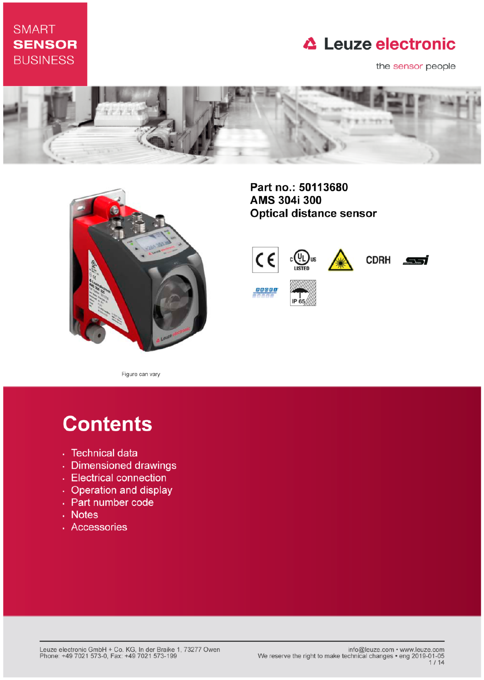# **SMART SENSOR BUSINESS**

# **△ Leuze electronic**

the sensor people





Part no.: 50113680 AMS 304i 300 **Optical distance sensor** 



Figure can vary

# **Contents**

- · Technical data
- · Dimensioned drawings
- Electrical connection
- Operation and display
- Part number code
- . Notes
- · Accessories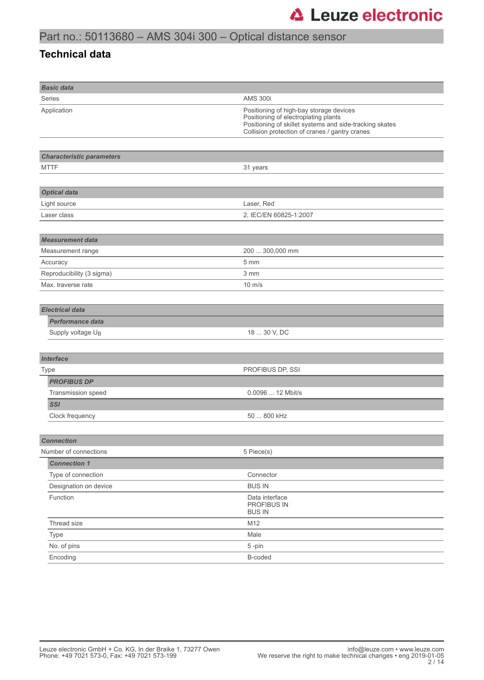### **Technical data**

| <b>Basic data</b>                      |                                                                                                                                                                                              |
|----------------------------------------|----------------------------------------------------------------------------------------------------------------------------------------------------------------------------------------------|
| <b>Series</b>                          | <b>AMS 300i</b>                                                                                                                                                                              |
| Application                            | Positioning of high-bay storage devices<br>Positioning of electroplating plants<br>Positioning of skillet systems and side-tracking skates<br>Collision protection of cranes / gantry cranes |
|                                        |                                                                                                                                                                                              |
| <b>Characteristic parameters</b>       |                                                                                                                                                                                              |
| <b>MTTF</b>                            | 31 years                                                                                                                                                                                     |
|                                        |                                                                                                                                                                                              |
| <b>Optical data</b>                    |                                                                                                                                                                                              |
| Light source                           | Laser, Red                                                                                                                                                                                   |
| Laser class                            | 2, IEC/EN 60825-1:2007                                                                                                                                                                       |
|                                        |                                                                                                                                                                                              |
| <b>Measurement data</b>                |                                                                                                                                                                                              |
| Measurement range                      | 200  300,000 mm                                                                                                                                                                              |
| Accuracy                               | 5 mm                                                                                                                                                                                         |
| Reproducibility (3 sigma)              | 3 mm                                                                                                                                                                                         |
| Max. traverse rate<br>$10 \text{ m/s}$ |                                                                                                                                                                                              |
|                                        |                                                                                                                                                                                              |
| <b>Electrical data</b>                 |                                                                                                                                                                                              |
| <b>Performance data</b>                |                                                                                                                                                                                              |
| Supply voltage UB                      | 18  30 V, DC                                                                                                                                                                                 |
|                                        |                                                                                                                                                                                              |
| <b>Interface</b>                       |                                                                                                                                                                                              |
| Type                                   | PROFIBUS DP, SSI                                                                                                                                                                             |
| <b>PROFIBUS DP</b>                     |                                                                                                                                                                                              |
| Transmission speed                     | 0.0096  12 Mbit/s                                                                                                                                                                            |
| <b>SSI</b>                             |                                                                                                                                                                                              |
| Clock frequency                        | 50  800 kHz                                                                                                                                                                                  |
|                                        |                                                                                                                                                                                              |
| <b>Connection</b>                      |                                                                                                                                                                                              |
| Number of connections                  | 5 Piece(s)                                                                                                                                                                                   |
| <b>Connection 1</b>                    |                                                                                                                                                                                              |
| Type of connection                     | Connector                                                                                                                                                                                    |
| Designation on device<br><b>BUS IN</b> |                                                                                                                                                                                              |
| Function                               | Data interface<br>PROFIBUS IN<br><b>BUS IN</b>                                                                                                                                               |
| Thread size                            | M12                                                                                                                                                                                          |
| Type                                   | Male                                                                                                                                                                                         |
| No. of pins                            | 5-pin                                                                                                                                                                                        |
| Encoding                               | B-coded                                                                                                                                                                                      |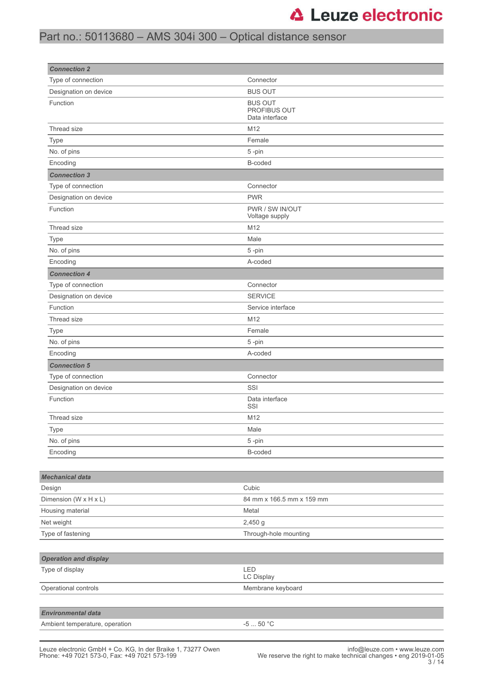# Part no.: 50113680 – AMS 304i 300 – Optical distance sensor

| <b>Connection 2</b>            |                                                  |
|--------------------------------|--------------------------------------------------|
| Type of connection             | Connector                                        |
| Designation on device          | <b>BUS OUT</b>                                   |
| Function                       | <b>BUS OUT</b><br>PROFIBUS OUT<br>Data interface |
| Thread size                    | M12                                              |
| Type                           | Female                                           |
| No. of pins                    | 5-pin                                            |
| Encoding                       | B-coded                                          |
| <b>Connection 3</b>            |                                                  |
| Type of connection             | Connector                                        |
| Designation on device          | <b>PWR</b>                                       |
| Function                       | PWR / SW IN/OUT<br>Voltage supply                |
| Thread size                    | M12                                              |
| Type                           | Male                                             |
| No. of pins                    | 5-pin                                            |
| Encoding                       | A-coded                                          |
| <b>Connection 4</b>            |                                                  |
| Type of connection             | Connector                                        |
| Designation on device          | <b>SERVICE</b>                                   |
| Function                       | Service interface                                |
| Thread size                    | M12                                              |
| Type                           | Female                                           |
| No. of pins                    | 5-pin                                            |
| Encoding                       | A-coded                                          |
| <b>Connection 5</b>            |                                                  |
| Type of connection             | Connector                                        |
| Designation on device          | SSI                                              |
| Function                       | Data interface<br>SSI                            |
| Thread size                    | M12                                              |
| Type                           | Male                                             |
| No. of pins                    | 5-pin                                            |
| Encoding                       | B-coded                                          |
|                                |                                                  |
| <b>Mechanical data</b>         |                                                  |
| Design                         | Cubic                                            |
| Dimension (W x H x L)          | 84 mm x 166.5 mm x 159 mm                        |
| Housing material               | Metal                                            |
| Net weight                     | 2,450 g                                          |
| Type of fastening              | Through-hole mounting                            |
|                                |                                                  |
| <b>Operation and display</b>   |                                                  |
| Type of display                | LED<br>LC Display                                |
| Operational controls           | Membrane keyboard                                |
|                                |                                                  |
| <b>Environmental data</b>      |                                                  |
| Ambient temperature, operation | -5 $\ldots$ 50 $^{\circ}{\rm C}$                 |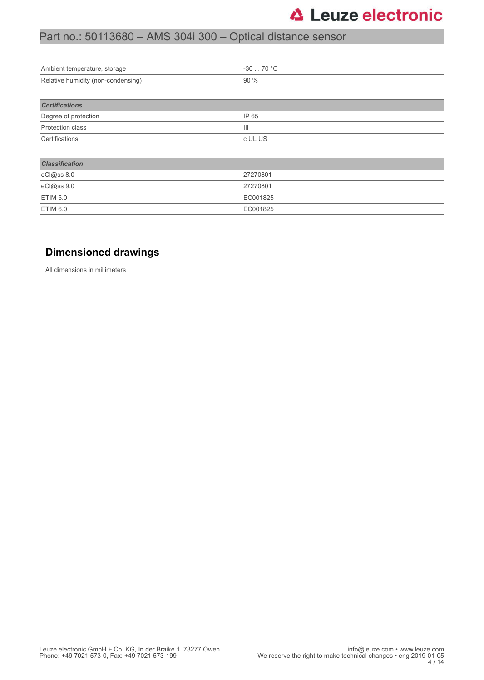# Part no.: 50113680 – AMS 304i 300 – Optical distance sensor

| $-3070 °C$     |
|----------------|
| 90 %           |
|                |
|                |
| IP 65          |
| $\mathbf{III}$ |
| c UL US        |
|                |
|                |
| 27270801       |
| 27270801       |
| EC001825       |
| EC001825       |
|                |

### **Dimensioned drawings**

All dimensions in millimeters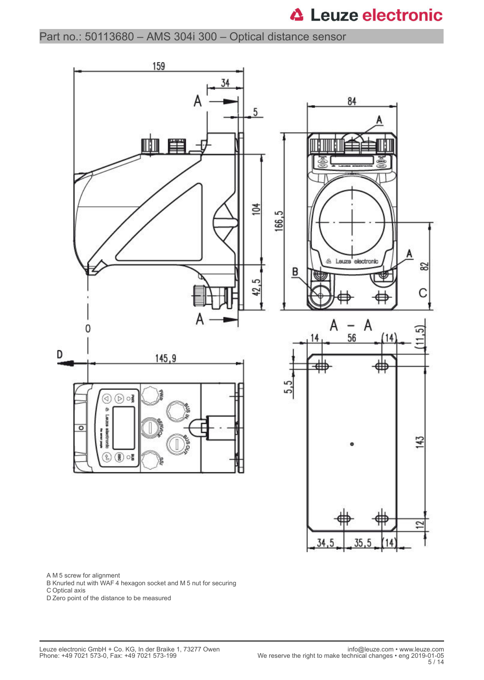Part no.: 50113680 – AMS 304i 300 – Optical distance sensor



A M 5 screw for alignment

B Knurled nut with WAF 4 hexagon socket and M 5 nut for securing

C Optical axis

D Zero point of the distance to be measured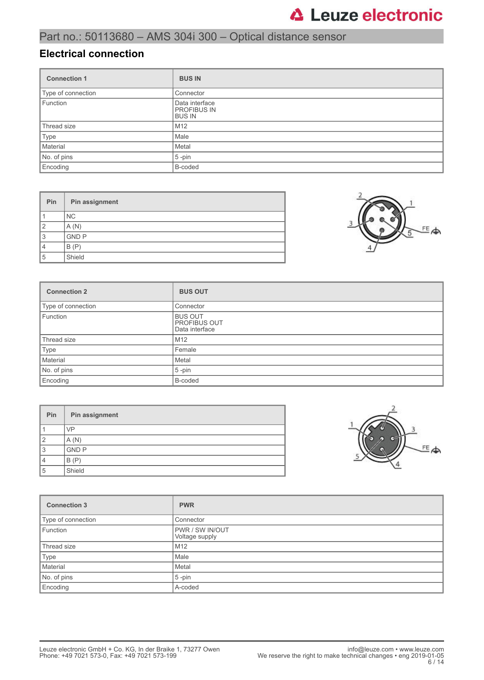### **Electrical connection**

| <b>Connection 1</b> | <b>BUS IN</b>                                         |
|---------------------|-------------------------------------------------------|
| Type of connection  | Connector                                             |
| Function            | Data interface<br><b>PROFIBUS IN</b><br><b>BUS IN</b> |
| Thread size         | M <sub>12</sub>                                       |
| Type                | Male                                                  |
| Material            | Metal                                                 |
| No. of pins         | $5$ -pin                                              |
| Encoding            | B-coded                                               |

| Pin            | Pin assignment |
|----------------|----------------|
|                | NC.            |
| $\overline{2}$ | A(N)           |
| 3              | <b>GND P</b>   |
| 4              | B(P)           |
| 5              | Shield         |



| <b>Connection 2</b> | <b>BUS OUT</b>                                          |
|---------------------|---------------------------------------------------------|
| Type of connection  | Connector                                               |
| Function            | <b>BUS OUT</b><br><b>PROFIBUS OUT</b><br>Data interface |
| Thread size         | M <sub>12</sub>                                         |
| Type                | Female                                                  |
| Material            | Metal                                                   |
| No. of pins         | $5$ -pin                                                |
| Encoding            | B-coded                                                 |

| Pin | Pin assignment |
|-----|----------------|
|     | <b>VP</b>      |
| 2   | A(N)           |
| 3   | <b>GND P</b>   |
| 4   | B(P)           |
| 5   | Shield         |



| <b>Connection 3</b> | <b>PWR</b>                        |
|---------------------|-----------------------------------|
| Type of connection  | Connector                         |
| Function            | PWR / SW IN/OUT<br>Voltage supply |
| Thread size         | M <sub>12</sub>                   |
| Type                | Male                              |
| Material            | Metal                             |
| No. of pins         | $5$ -pin                          |
| Encoding            | A-coded                           |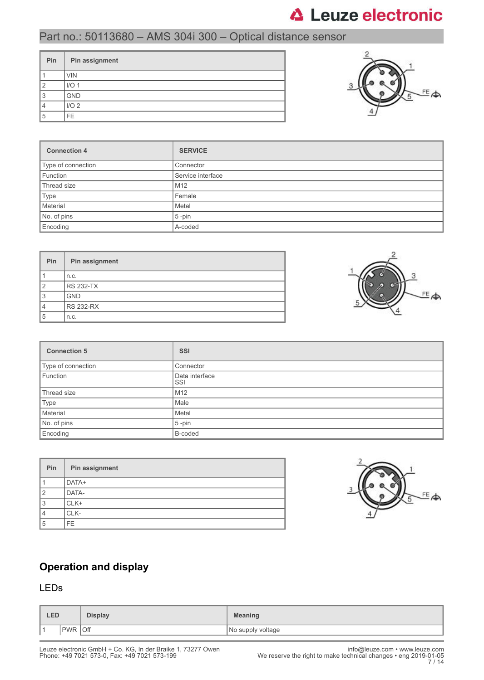# Part no.: 50113680 – AMS 304i 300 – Optical distance sensor

| Pin | Pin assignment   |
|-----|------------------|
|     | <b>VIN</b>       |
| ◠   | I/O <sub>1</sub> |
| 3   | <b>GND</b>       |
|     | I/O <sub>2</sub> |
| 5   | FE.              |



| <b>Connection 4</b> | <b>SERVICE</b>    |
|---------------------|-------------------|
| Type of connection  | Connector         |
| Function            | Service interface |
| Thread size         | M <sub>12</sub>   |
| Type                | Female            |
| Material            | Metal             |
| No. of pins         | $5$ -pin          |
| Encoding            | A-coded           |

| <b>Pin</b>     | Pin assignment   |
|----------------|------------------|
|                | n.c.             |
| $\overline{2}$ | <b>RS 232-TX</b> |
| 3              | <b>GND</b>       |
| 4              | <b>RS 232-RX</b> |
| 5              | n.c.             |



| <b>Connection 5</b> | <b>SSI</b>            |
|---------------------|-----------------------|
| Type of connection  | Connector             |
| Function            | Data interface<br>SSI |
| Thread size         | M12                   |
| Type                | Male                  |
| Material            | Metal                 |
| No. of pins         | $5$ -pin              |
| Encoding            | B-coded               |

| Pin | Pin assignment |
|-----|----------------|
|     | DATA+          |
| 2   | DATA-          |
| 3   | CLK+           |
| 4   | CLK-           |
| 5   | FF.            |



## **Operation and display**

### LEDs

| <b>LED</b> |                   | <b>Display</b> | <b>Meaning</b>    |
|------------|-------------------|----------------|-------------------|
| ∎ ⊣        | Off<br><b>PWR</b> |                | No supply voltage |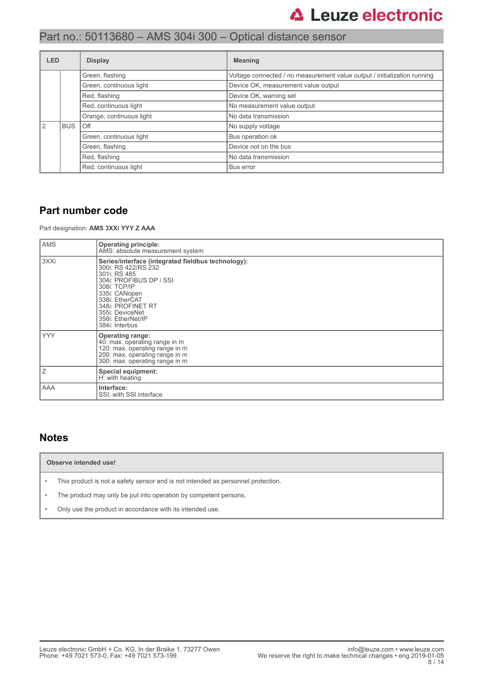# Part no.: 50113680 – AMS 304i 300 – Optical distance sensor

| <b>LED</b> |               | <b>Display</b>           | <b>Meaning</b>                                                           |
|------------|---------------|--------------------------|--------------------------------------------------------------------------|
|            |               | Green, flashing          | Voltage connected / no measurement value output / initialization running |
|            |               | Green, continuous light  | Device OK, measurement value output                                      |
|            | Red, flashing |                          | Device OK, warning set                                                   |
|            |               | Red, continuous light    | No measurement value output                                              |
|            |               | Orange, continuous light | No data transmission                                                     |
| 2          | <b>BUS</b>    | Off                      | No supply voltage                                                        |
|            |               | Green, continuous light  | Bus operation ok                                                         |
|            |               | Green, flashing          | Device not on the bus                                                    |
|            |               | Red, flashing            | No data transmission                                                     |
|            |               | Red, continuous light    | Bus error                                                                |

### **Part number code**

Part designation: **AMS 3XXi YYY Z AAA**

| <b>AMS</b> | <b>Operating principle:</b><br>AMS: absolute measurement system                                                                                                                                                                                        |
|------------|--------------------------------------------------------------------------------------------------------------------------------------------------------------------------------------------------------------------------------------------------------|
| 3XXi       | Series/interface (integrated fieldbus technology):<br>300i: RS 422/RS 232<br>301i: RS 485<br>304i: PROFIBUS DP / SSI<br>308i: TCP/IP<br>335i: CANopen<br>338i: EtherCAT<br>348i: PROFINET RT<br>355i: DeviceNet<br>358i: EtherNet/IP<br>384i: Interbus |
| <b>YYY</b> | <b>Operating range:</b><br>40: max. operating range in m<br>120: max. operating range in m<br>200: max. operating range in m<br>300: max. operating range in m                                                                                         |
| Ζ          | Special equipment:<br>H: with heating                                                                                                                                                                                                                  |
| AAA        | Interface:<br>SSI: with SSI interface                                                                                                                                                                                                                  |

### **Notes**

#### **Observe intended use!**

• This product is not a safety sensor and is not intended as personnel protection.

• The product may only be put into operation by competent persons.

• Only use the product in accordance with its intended use.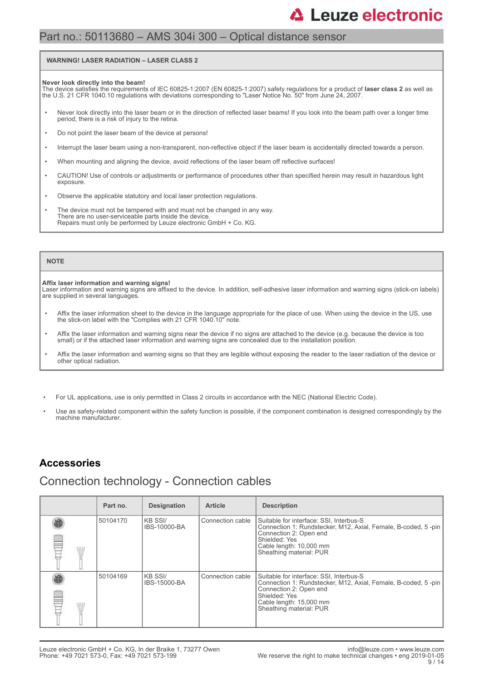### Part no.: 50113680 – AMS 304i 300 – Optical distance sensor

#### **WARNING! LASER RADIATION – LASER CLASS 2**

#### **Never look directly into the beam!**

The device satisfies the requirements of IEC 60825-1:2007 (EN 60825-1:2007) safety regulations for a product of **laser class 2** as well as<br>the U.S. 21 CFR 1040.10 regulations with deviations corresponding to "Laser Notice

- Never look directly into the laser beam or in the direction of reflected laser beams! If you look into the beam path over a longer time period, there is a risk of injury to the retina.
- Do not point the laser beam of the device at persons!
- Interrupt the laser beam using a non-transparent, non-reflective object if the laser beam is accidentally directed towards a person.
- When mounting and aligning the device, avoid reflections of the laser beam off reflective surfaces!
- CAUTION! Use of controls or adjustments or performance of procedures other than specified herein may result in hazardous light exposure.
- Observe the applicable statutory and local laser protection regulations.
- The device must not be tampered with and must not be changed in any way. There are no user-serviceable parts inside the device. Repairs must only be performed by Leuze electronic GmbH + Co. KG.

#### **NOTE**

#### **Affix laser information and warning signs!**

Laser information and warning signs are affixed to the device. In addition, self-adhesive laser information and warning signs (stick-on labels) are supplied in several languages.

- Affix the laser information sheet to the device in the language appropriate for the place of use. When using the device in the US, use the stick-on label with the "Complies with 21 CFR 1040.10" note.
- Affix the laser information and warning signs near the device if no signs are attached to the device (e.g. because the device is too small) or if the attached laser information and warning signs are concealed due to the installation position.
- Affix the laser information and warning signs so that they are legible without exposing the reader to the laser radiation of the device or other optical radiation.
- For UL applications, use is only permitted in Class 2 circuits in accordance with the NEC (National Electric Code).
- Use as safety-related component within the safety function is possible, if the component combination is designed correspondingly by the machine manufacturer.

### **Accessories**

### Connection technology - Connection cables

| Part no. | <b>Designation</b>              | <b>Article</b>   | <b>Description</b>                                                                                                                                                                                        |
|----------|---------------------------------|------------------|-----------------------------------------------------------------------------------------------------------------------------------------------------------------------------------------------------------|
| 50104170 | KB SSI/<br>IBS-10000-BA         | Connection cable | Suitable for interface: SSI, Interbus-S<br>Connection 1: Rundstecker, M12, Axial, Female, B-coded, 5-pin<br>Connection 2: Open end<br>Shielded: Yes<br>Cable length: 10,000 mm<br>Sheathing material: PUR |
| 50104169 | IKB SSI/<br><b>IBS-15000-BA</b> | Connection cable | Suitable for interface: SSI, Interbus-S<br>Connection 1: Rundstecker, M12, Axial, Female, B-coded, 5-pin<br>Connection 2: Open end<br>Shielded: Yes<br>Cable length: 15,000 mm<br>Sheathing material: PUR |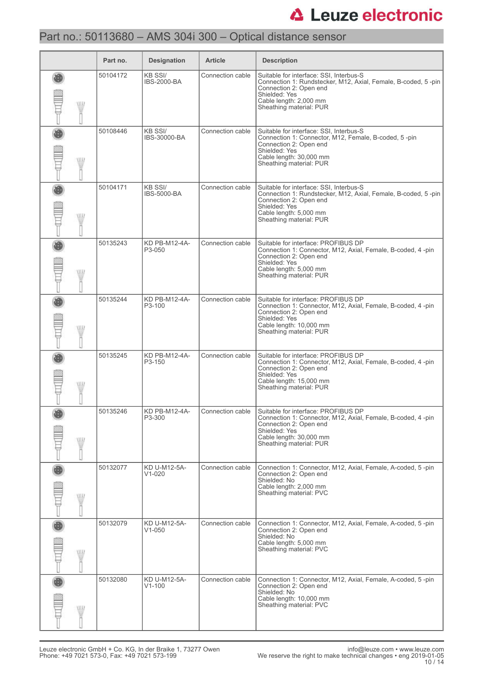# Part no.: 50113680 – AMS 304i 300 – Optical distance sensor

|     | Part no. | <b>Designation</b>                   | <b>Article</b>   | <b>Description</b>                                                                                                                                                                                       |
|-----|----------|--------------------------------------|------------------|----------------------------------------------------------------------------------------------------------------------------------------------------------------------------------------------------------|
| WII | 50104172 | <b>KB SSI/</b><br><b>IBS-2000-BA</b> | Connection cable | Suitable for interface: SSI, Interbus-S<br>Connection 1: Rundstecker, M12, Axial, Female, B-coded, 5-pin<br>Connection 2: Open end<br>Shielded: Yes<br>Cable length: 2,000 mm<br>Sheathing material: PUR |
| W   | 50108446 | <b>KB SSI/</b><br>IBS-30000-BA       | Connection cable | Suitable for interface: SSI, Interbus-S<br>Connection 1: Connector, M12, Female, B-coded, 5-pin<br>Connection 2: Open end<br>Shielded: Yes<br>Cable length: 30,000 mm<br>Sheathing material: PUR         |
| W   | 50104171 | <b>KB SSI/</b><br><b>IBS-5000-BA</b> | Connection cable | Suitable for interface: SSI, Interbus-S<br>Connection 1: Rundstecker, M12, Axial, Female, B-coded, 5-pin<br>Connection 2: Open end<br>Shielded: Yes<br>Cable length: 5,000 mm<br>Sheathing material: PUR |
|     | 50135243 | KD PB-M12-4A-<br>P3-050              | Connection cable | Suitable for interface: PROFIBUS DP<br>Connection 1: Connector, M12, Axial, Female, B-coded, 4-pin<br>Connection 2: Open end<br>Shielded: Yes<br>Cable length: 5,000 mm<br>Sheathing material: PUR       |
| W   | 50135244 | KD PB-M12-4A-<br>P3-100              | Connection cable | Suitable for interface: PROFIBUS DP<br>Connection 1: Connector, M12, Axial, Female, B-coded, 4-pin<br>Connection 2: Open end<br>Shielded: Yes<br>Cable length: 10,000 mm<br>Sheathing material: PUR      |
| W   | 50135245 | KD PB-M12-4A-<br>P3-150              | Connection cable | Suitable for interface: PROFIBUS DP<br>Connection 1: Connector, M12, Axial, Female, B-coded, 4-pin<br>Connection 2: Open end<br>Shielded: Yes<br>Cable length: 15,000 mm<br>Sheathing material: PUR      |
| WW  | 50135246 | KD PB-M12-4A-<br>P3-300              | Connection cable | Suitable for interface: PROFIBUS DP<br>Connection 1: Connector, M12, Axial, Female, B-coded, 4-pin<br>Connection 2: Open end<br>Shielded: Yes<br>Cable length: 30,000 mm<br>Sheathing material: PUR      |
| WII | 50132077 | KD U-M12-5A-<br>$V1-020$             | Connection cable | Connection 1: Connector, M12, Axial, Female, A-coded, 5-pin<br>Connection 2: Open end<br>Shielded: No<br>Cable length: 2,000 mm<br>Sheathing material: PVC                                               |
| WW  | 50132079 | KD U-M12-5A-<br>$V1 - 050$           | Connection cable | Connection 1: Connector, M12, Axial, Female, A-coded, 5-pin<br>Connection 2: Open end<br>Shielded: No<br>Cable length: 5,000 mm<br>Sheathing material: PVC                                               |
| W   | 50132080 | KD U-M12-5A-<br>$V1 - 100$           | Connection cable | Connection 1: Connector, M12, Axial, Female, A-coded, 5-pin<br>Connection 2: Open end<br>Shielded: No<br>Cable length: 10,000 mm<br>Sheathing material: PVC                                              |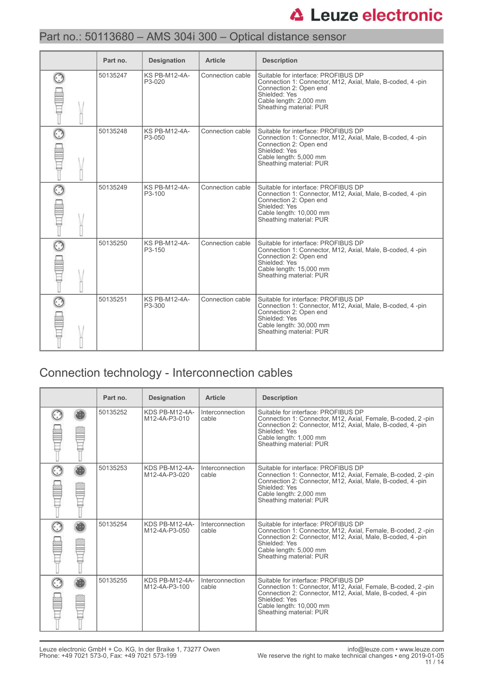# Part no.: 50113680 – AMS 304i 300 – Optical distance sensor

| Part no. | <b>Designation</b>             | <b>Article</b>   | <b>Description</b>                                                                                                                                                                                 |
|----------|--------------------------------|------------------|----------------------------------------------------------------------------------------------------------------------------------------------------------------------------------------------------|
| 50135247 | <b>KS PB-M12-4A-</b><br>P3-020 | Connection cable | Suitable for interface: PROFIBUS DP<br>Connection 1: Connector, M12, Axial, Male, B-coded, 4 -pin<br>Connection 2: Open end<br>Shielded: Yes<br>Cable length: 2,000 mm<br>Sheathing material: PUR  |
| 50135248 | <b>KS PB-M12-4A-</b><br>P3-050 | Connection cable | Suitable for interface: PROFIBUS DP<br>Connection 1: Connector, M12, Axial, Male, B-coded, 4-pin<br>Connection 2: Open end<br>Shielded: Yes<br>Cable length: 5,000 mm<br>Sheathing material: PUR   |
| 50135249 | <b>KS PB-M12-4A-</b><br>P3-100 | Connection cable | Suitable for interface: PROFIBUS DP<br>Connection 1: Connector, M12, Axial, Male, B-coded, 4-pin<br>Connection 2: Open end<br>Shielded: Yes<br>Cable length: 10,000 mm<br>Sheathing material: PUR  |
| 50135250 | <b>KS PB-M12-4A-</b><br>P3-150 | Connection cable | Suitable for interface: PROFIBUS DP<br>Connection 1: Connector, M12, Axial, Male, B-coded, 4 -pin<br>Connection 2: Open end<br>Shielded: Yes<br>Cable length: 15,000 mm<br>Sheathing material: PUR |
| 50135251 | <b>KS PB-M12-4A-</b><br>P3-300 | Connection cable | Suitable for interface: PROFIBUS DP<br>Connection 1: Connector, M12, Axial, Male, B-coded, 4-pin<br>Connection 2: Open end<br>Shielded: Yes<br>Cable length: 30,000 mm<br>Sheathing material: PUR  |

# Connection technology - Interconnection cables

| Part no. | <b>Designation</b>              | <b>Article</b>           | <b>Description</b>                                                                                                                                                                                                                     |
|----------|---------------------------------|--------------------------|----------------------------------------------------------------------------------------------------------------------------------------------------------------------------------------------------------------------------------------|
| 50135252 | KDS PB-M12-4A-<br>M12-4A-P3-010 | Interconnection<br>cable | Suitable for interface: PROFIBUS DP<br>Connection 1: Connector, M12, Axial, Female, B-coded, 2-pin<br>Connection 2: Connector, M12, Axial, Male, B-coded, 4-pin<br>Shielded: Yes<br>Cable length: 1,000 mm<br>Sheathing material: PUR  |
| 50135253 | KDS PB-M12-4A-<br>M12-4A-P3-020 | Interconnection<br>cable | Suitable for interface: PROFIBUS DP<br>Connection 1: Connector, M12, Axial, Female, B-coded, 2-pin<br>Connection 2: Connector, M12, Axial, Male, B-coded, 4-pin<br>Shielded: Yes<br>Cable length: 2,000 mm<br>Sheathing material: PUR  |
| 50135254 | KDS PB-M12-4A-<br>M12-4A-P3-050 | Interconnection<br>cable | Suitable for interface: PROFIBUS DP<br>Connection 1: Connector, M12, Axial, Female, B-coded, 2-pin<br>Connection 2: Connector, M12, Axial, Male, B-coded, 4-pin<br>Shielded: Yes<br>Cable length: 5,000 mm<br>Sheathing material: PUR  |
| 50135255 | KDS PB-M12-4A-<br>M12-4A-P3-100 | Interconnection<br>cable | Suitable for interface: PROFIBUS DP<br>Connection 1: Connector, M12, Axial, Female, B-coded, 2-pin<br>Connection 2: Connector, M12, Axial, Male, B-coded, 4-pin<br>Shielded: Yes<br>Cable length: 10,000 mm<br>Sheathing material: PUR |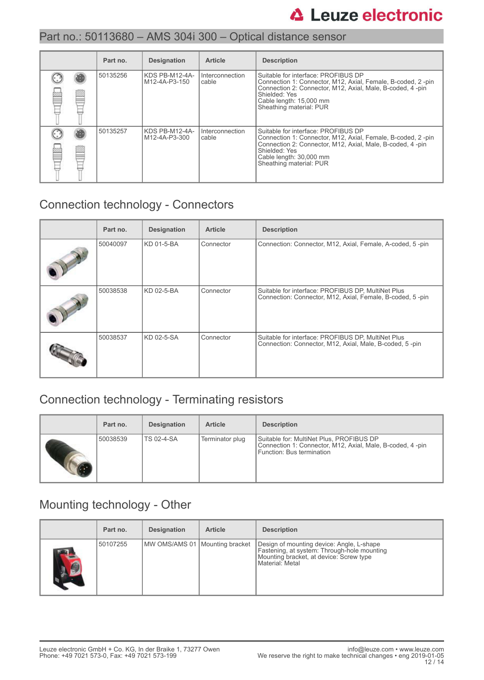|   | Part no. | <b>Designation</b>              | <b>Article</b>             | <b>Description</b>                                                                                                                                                                                                                     |
|---|----------|---------------------------------|----------------------------|----------------------------------------------------------------------------------------------------------------------------------------------------------------------------------------------------------------------------------------|
|   | 50135256 | KDS PB-M12-4A-<br>M12-4A-P3-150 | I Interconnection<br>cable | Suitable for interface: PROFIBUS DP<br>Connection 1: Connector, M12, Axial, Female, B-coded, 2-pin<br>Connection 2: Connector, M12, Axial, Male, B-coded, 4-pin<br>Shielded: Yes<br>Cable length: 15,000 mm<br>Sheathing material: PUR |
| Ê | 50135257 | KDS PB-M12-4A-<br>M12-4A-P3-300 | Interconnection<br>cable   | Suitable for interface: PROFIBUS DP<br>Connection 1: Connector, M12, Axial, Female, B-coded, 2-pin<br>Connection 2: Connector, M12, Axial, Male, B-coded, 4-pin<br>Shielded: Yes<br>Cable length: 30,000 mm<br>Sheathing material: PUR |

# Connection technology - Connectors

| Part no. | <b>Designation</b> | <b>Article</b> | <b>Description</b>                                                                                              |
|----------|--------------------|----------------|-----------------------------------------------------------------------------------------------------------------|
| 50040097 | KD 01-5-BA         | Connector      | Connection: Connector, M12, Axial, Female, A-coded, 5-pin                                                       |
| 50038538 | KD 02-5-BA         | Connector      | Suitable for interface: PROFIBUS DP, MultiNet Plus<br>Connection: Connector, M12, Axial, Female, B-coded, 5-pin |
| 50038537 | KD 02-5-SA         | Connector      | Suitable for interface: PROFIBUS DP, MultiNet Plus<br>Connection: Connector, M12, Axial, Male, B-coded, 5-pin   |

# Connection technology - Terminating resistors

| Part no. | <b>Designation</b> | <b>Article</b>  | <b>Description</b>                                                                                                                 |
|----------|--------------------|-----------------|------------------------------------------------------------------------------------------------------------------------------------|
| 50038539 | TS 02-4-SA         | Terminator plug | Suitable for: MultiNet Plus, PROFIBUS DP<br>Connection 1: Connector, M12, Axial, Male, B-coded, 4-pin<br>Function: Bus termination |

## Mounting technology - Other

|     | Part no. | <b>Designation</b>               | <b>Article</b> | <b>Description</b>                                                                                                                                     |
|-----|----------|----------------------------------|----------------|--------------------------------------------------------------------------------------------------------------------------------------------------------|
| AS. | 50107255 | MW OMS/AMS 01   Mounting bracket |                | Design of mounting device: Angle, L-shape<br>Fastening, at system: Through-hole mounting<br>Mounting bracket, at device: Screw type<br>Material: Metal |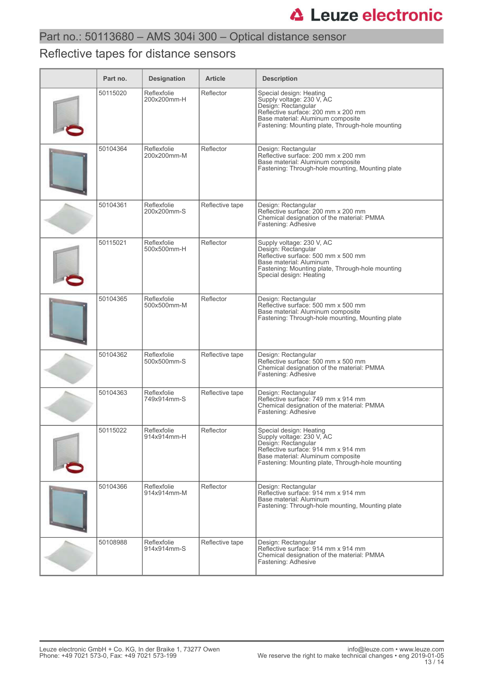# Reflective tapes for distance sensors

| Part no. | <b>Designation</b>         | <b>Article</b>  | <b>Description</b>                                                                                                                                                                                          |
|----------|----------------------------|-----------------|-------------------------------------------------------------------------------------------------------------------------------------------------------------------------------------------------------------|
| 50115020 | Reflexfolie<br>200x200mm-H | Reflector       | Special design: Heating<br>Supply voltage: 230 V, AC<br>Design: Rectangular<br>Reflective surface: 200 mm x 200 mm<br>Base material: Aluminum composite<br>Fastening: Mounting plate, Through-hole mounting |
| 50104364 | Reflexfolie<br>200x200mm-M | Reflector       | Design: Rectangular<br>Reflective surface: 200 mm x 200 mm<br>Base material: Aluminum composite<br>Fastening: Through-hole mounting, Mounting plate                                                         |
| 50104361 | Reflexfolie<br>200x200mm-S | Reflective tape | Design: Rectangular<br>Reflective surface: 200 mm x 200 mm<br>Chemical designation of the material: PMMA<br>Fastening: Adhesive                                                                             |
| 50115021 | Reflexfolie<br>500x500mm-H | Reflector       | Supply voltage: 230 V, AC<br>Design: Rectangular<br>Reflective surface: 500 mm x 500 mm<br>Base material: Aluminum<br>Fastening: Mounting plate, Through-hole mounting<br>Special design: Heating           |
| 50104365 | Reflexfolie<br>500x500mm-M | Reflector       | Design: Rectangular<br>Reflective surface: 500 mm x 500 mm<br>Base material: Aluminum composite<br>Fastening: Through-hole mounting, Mounting plate                                                         |
| 50104362 | Reflexfolie<br>500x500mm-S | Reflective tape | Design: Rectangular<br>Reflective surface: 500 mm x 500 mm<br>Chemical designation of the material: PMMA<br>Fastening: Adhesive                                                                             |
| 50104363 | Reflexfolie<br>749x914mm-S | Reflective tape | Design: Rectangular<br>Reflective surface: 749 mm x 914 mm<br>Chemical designation of the material: PMMA<br>Fastening: Adhesive                                                                             |
| 50115022 | Reflexfolie<br>914x914mm-H | Reflector       | Special design: Heating<br>Supply voltage: 230 V, AC<br>Design: Rectangular<br>Reflective surface: 914 mm x 914 mm<br>Base material: Aluminum composite<br>Fastening: Mounting plate, Through-hole mounting |
| 50104366 | Reflexfolie<br>914x914mm-M | Reflector       | Design: Rectangular<br>Reflective surface: 914 mm x 914 mm<br>Base material: Aluminum<br>Fastening: Through-hole mounting, Mounting plate                                                                   |
| 50108988 | Reflexfolie<br>914x914mm-S | Reflective tape | Design: Rectangular<br>Reflective surface: 914 mm x 914 mm<br>Chemical designation of the material: PMMA<br>Fastening: Adhesive                                                                             |